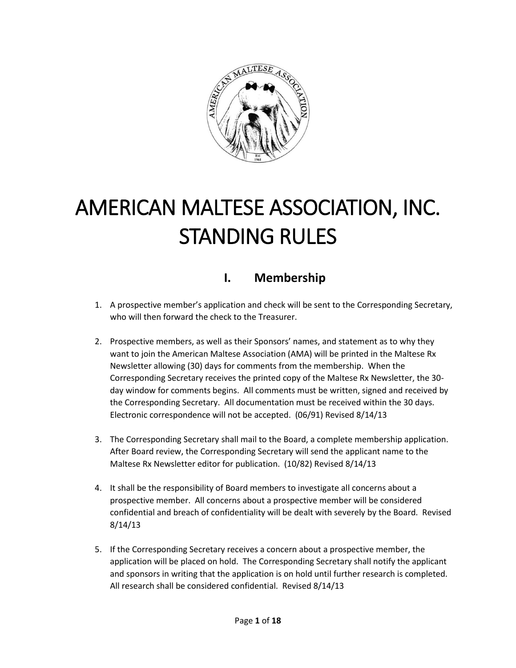

# AMERICAN MALTESE ASSOCIATION, INC. STANDING RULES

# **I. Membership**

- 1. A prospective member's application and check will be sent to the Corresponding Secretary, who will then forward the check to the Treasurer.
- 2. Prospective members, as well as their Sponsors' names, and statement as to why they want to join the American Maltese Association (AMA) will be printed in the Maltese Rx Newsletter allowing (30) days for comments from the membership. When the Corresponding Secretary receives the printed copy of the Maltese Rx Newsletter, the 30 day window for comments begins. All comments must be written, signed and received by the Corresponding Secretary. All documentation must be received within the 30 days. Electronic correspondence will not be accepted. (06/91) Revised 8/14/13
- 3. The Corresponding Secretary shall mail to the Board, a complete membership application. After Board review, the Corresponding Secretary will send the applicant name to the Maltese Rx Newsletter editor for publication. (10/82) Revised 8/14/13
- 4. It shall be the responsibility of Board members to investigate all concerns about a prospective member. All concerns about a prospective member will be considered confidential and breach of confidentiality will be dealt with severely by the Board. Revised 8/14/13
- 5. If the Corresponding Secretary receives a concern about a prospective member, the application will be placed on hold. The Corresponding Secretary shall notify the applicant and sponsors in writing that the application is on hold until further research is completed. All research shall be considered confidential. Revised 8/14/13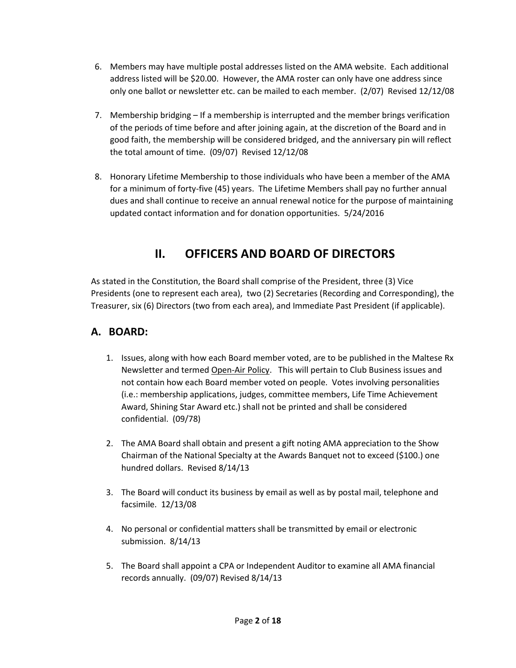- 6. Members may have multiple postal addresses listed on the AMA website. Each additional address listed will be \$20.00. However, the AMA roster can only have one address since only one ballot or newsletter etc. can be mailed to each member. (2/07) Revised 12/12/08
- 7. Membership bridging If a membership is interrupted and the member brings verification of the periods of time before and after joining again, at the discretion of the Board and in good faith, the membership will be considered bridged, and the anniversary pin will reflect the total amount of time. (09/07) Revised 12/12/08
- 8. Honorary Lifetime Membership to those individuals who have been a member of the AMA for a minimum of forty-five (45) years. The Lifetime Members shall pay no further annual dues and shall continue to receive an annual renewal notice for the purpose of maintaining updated contact information and for donation opportunities. 5/24/2016

# **II. OFFICERS AND BOARD OF DIRECTORS**

As stated in the Constitution, the Board shall comprise of the President, three (3) Vice Presidents (one to represent each area), two (2) Secretaries (Recording and Corresponding), the Treasurer, six (6) Directors (two from each area), and Immediate Past President (if applicable).

## **A. BOARD:**

- 1. Issues, along with how each Board member voted, are to be published in the Maltese Rx Newsletter and termed Open-Air Policy. This will pertain to Club Business issues and not contain how each Board member voted on people. Votes involving personalities (i.e.: membership applications, judges, committee members, Life Time Achievement Award, Shining Star Award etc.) shall not be printed and shall be considered confidential. (09/78)
- 2. The AMA Board shall obtain and present a gift noting AMA appreciation to the Show Chairman of the National Specialty at the Awards Banquet not to exceed (\$100.) one hundred dollars. Revised 8/14/13
- 3. The Board will conduct its business by email as well as by postal mail, telephone and facsimile. 12/13/08
- 4. No personal or confidential matters shall be transmitted by email or electronic submission. 8/14/13
- 5. The Board shall appoint a CPA or Independent Auditor to examine all AMA financial records annually. (09/07) Revised 8/14/13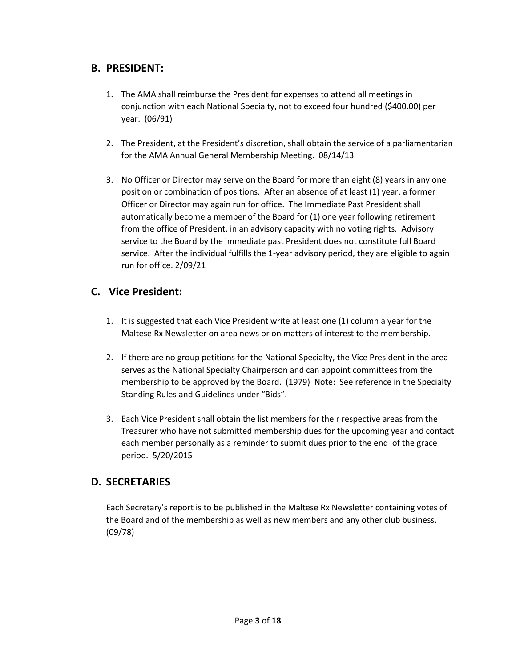### **B. PRESIDENT:**

- 1. The AMA shall reimburse the President for expenses to attend all meetings in conjunction with each National Specialty, not to exceed four hundred (\$400.00) per year. (06/91)
- 2. The President, at the President's discretion, shall obtain the service of a parliamentarian for the AMA Annual General Membership Meeting. 08/14/13
- 3. No Officer or Director may serve on the Board for more than eight (8) years in any one position or combination of positions. After an absence of at least (1) year, a former Officer or Director may again run for office. The Immediate Past President shall automatically become a member of the Board for (1) one year following retirement from the office of President, in an advisory capacity with no voting rights. Advisory service to the Board by the immediate past President does not constitute full Board service. After the individual fulfills the 1-year advisory period, they are eligible to again run for office. 2/09/21

## **C. Vice President:**

- 1. It is suggested that each Vice President write at least one (1) column a year for the Maltese Rx Newsletter on area news or on matters of interest to the membership.
- 2. If there are no group petitions for the National Specialty, the Vice President in the area serves as the National Specialty Chairperson and can appoint committees from the membership to be approved by the Board. (1979) Note: See reference in the Specialty Standing Rules and Guidelines under "Bids".
- 3. Each Vice President shall obtain the list members for their respective areas from the Treasurer who have not submitted membership dues for the upcoming year and contact each member personally as a reminder to submit dues prior to the end of the grace period. 5/20/2015

#### **D. SECRETARIES**

Each Secretary's report is to be published in the Maltese Rx Newsletter containing votes of the Board and of the membership as well as new members and any other club business. (09/78)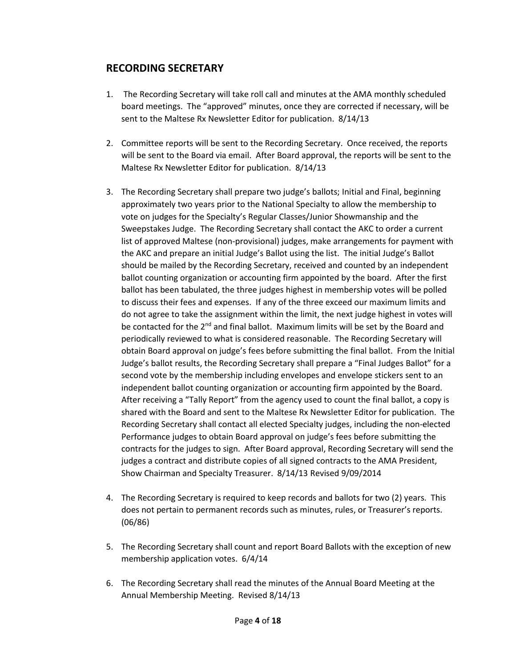#### **RECORDING SECRETARY**

- 1. The Recording Secretary will take roll call and minutes at the AMA monthly scheduled board meetings. The "approved" minutes, once they are corrected if necessary, will be sent to the Maltese Rx Newsletter Editor for publication. 8/14/13
- 2. Committee reports will be sent to the Recording Secretary. Once received, the reports will be sent to the Board via email. After Board approval, the reports will be sent to the Maltese Rx Newsletter Editor for publication. 8/14/13
- 3. The Recording Secretary shall prepare two judge's ballots; Initial and Final, beginning approximately two years prior to the National Specialty to allow the membership to vote on judges for the Specialty's Regular Classes/Junior Showmanship and the Sweepstakes Judge. The Recording Secretary shall contact the AKC to order a current list of approved Maltese (non-provisional) judges, make arrangements for payment with the AKC and prepare an initial Judge's Ballot using the list. The initial Judge's Ballot should be mailed by the Recording Secretary, received and counted by an independent ballot counting organization or accounting firm appointed by the board. After the first ballot has been tabulated, the three judges highest in membership votes will be polled to discuss their fees and expenses. If any of the three exceed our maximum limits and do not agree to take the assignment within the limit, the next judge highest in votes will be contacted for the  $2^{nd}$  and final ballot. Maximum limits will be set by the Board and periodically reviewed to what is considered reasonable. The Recording Secretary will obtain Board approval on judge's fees before submitting the final ballot. From the Initial Judge's ballot results, the Recording Secretary shall prepare a "Final Judges Ballot" for a second vote by the membership including envelopes and envelope stickers sent to an independent ballot counting organization or accounting firm appointed by the Board. After receiving a "Tally Report" from the agency used to count the final ballot, a copy is shared with the Board and sent to the Maltese Rx Newsletter Editor for publication. The Recording Secretary shall contact all elected Specialty judges, including the non-elected Performance judges to obtain Board approval on judge's fees before submitting the contracts for the judges to sign. After Board approval, Recording Secretary will send the judges a contract and distribute copies of all signed contracts to the AMA President, Show Chairman and Specialty Treasurer. 8/14/13 Revised 9/09/2014
- 4. The Recording Secretary is required to keep records and ballots for two (2) years. This does not pertain to permanent records such as minutes, rules, or Treasurer's reports. (06/86)
- 5. The Recording Secretary shall count and report Board Ballots with the exception of new membership application votes. 6/4/14
- 6. The Recording Secretary shall read the minutes of the Annual Board Meeting at the Annual Membership Meeting. Revised 8/14/13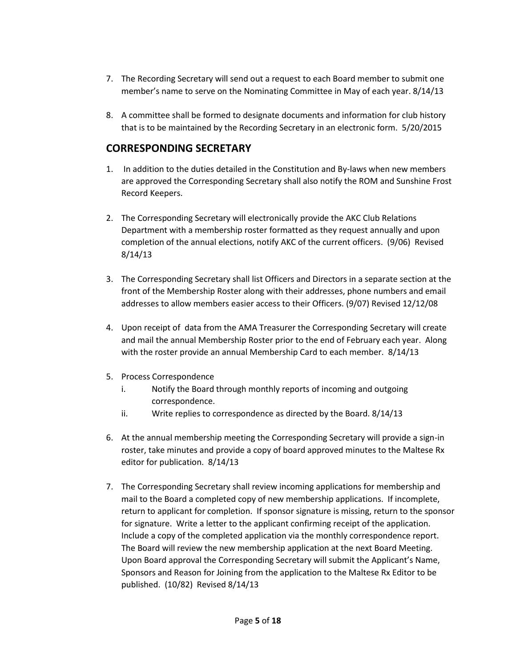- 7. The Recording Secretary will send out a request to each Board member to submit one member's name to serve on the Nominating Committee in May of each year. 8/14/13
- 8. A committee shall be formed to designate documents and information for club history that is to be maintained by the Recording Secretary in an electronic form. 5/20/2015

## **CORRESPONDING SECRETARY**

- 1. In addition to the duties detailed in the Constitution and By-laws when new members are approved the Corresponding Secretary shall also notify the ROM and Sunshine Frost Record Keepers.
- 2. The Corresponding Secretary will electronically provide the AKC Club Relations Department with a membership roster formatted as they request annually and upon completion of the annual elections, notify AKC of the current officers. (9/06) Revised 8/14/13
- 3. The Corresponding Secretary shall list Officers and Directors in a separate section at the front of the Membership Roster along with their addresses, phone numbers and email addresses to allow members easier access to their Officers. (9/07) Revised 12/12/08
- 4. Upon receipt of data from the AMA Treasurer the Corresponding Secretary will create and mail the annual Membership Roster prior to the end of February each year. Along with the roster provide an annual Membership Card to each member. 8/14/13
- 5. Process Correspondence
	- i. Notify the Board through monthly reports of incoming and outgoing correspondence.
	- ii. Write replies to correspondence as directed by the Board. 8/14/13
- 6. At the annual membership meeting the Corresponding Secretary will provide a sign-in roster, take minutes and provide a copy of board approved minutes to the Maltese Rx editor for publication. 8/14/13
- 7. The Corresponding Secretary shall review incoming applications for membership and mail to the Board a completed copy of new membership applications. If incomplete, return to applicant for completion. If sponsor signature is missing, return to the sponsor for signature. Write a letter to the applicant confirming receipt of the application. Include a copy of the completed application via the monthly correspondence report. The Board will review the new membership application at the next Board Meeting. Upon Board approval the Corresponding Secretary will submit the Applicant's Name, Sponsors and Reason for Joining from the application to the Maltese Rx Editor to be published. (10/82) Revised 8/14/13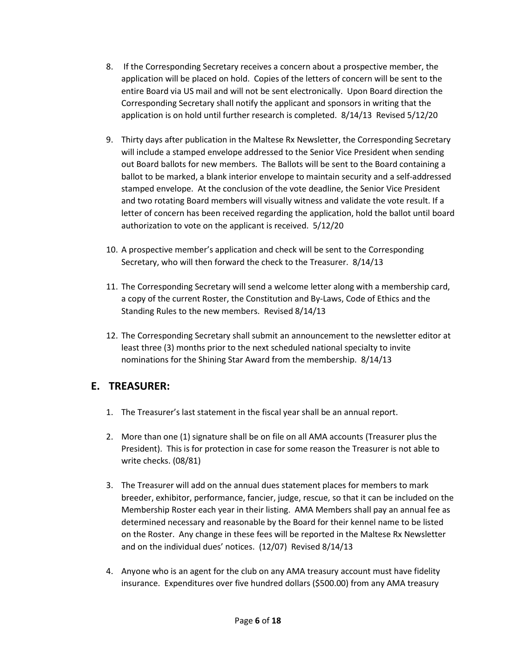- 8. If the Corresponding Secretary receives a concern about a prospective member, the application will be placed on hold. Copies of the letters of concern will be sent to the entire Board via US mail and will not be sent electronically. Upon Board direction the Corresponding Secretary shall notify the applicant and sponsors in writing that the application is on hold until further research is completed. 8/14/13 Revised 5/12/20
- 9. Thirty days after publication in the Maltese Rx Newsletter, the Corresponding Secretary will include a stamped envelope addressed to the Senior Vice President when sending out Board ballots for new members. The Ballots will be sent to the Board containing a ballot to be marked, a blank interior envelope to maintain security and a self-addressed stamped envelope. At the conclusion of the vote deadline, the Senior Vice President and two rotating Board members will visually witness and validate the vote result. If a letter of concern has been received regarding the application, hold the ballot until board authorization to vote on the applicant is received. 5/12/20
- 10. A prospective member's application and check will be sent to the Corresponding Secretary, who will then forward the check to the Treasurer. 8/14/13
- 11. The Corresponding Secretary will send a welcome letter along with a membership card, a copy of the current Roster, the Constitution and By-Laws, Code of Ethics and the Standing Rules to the new members. Revised 8/14/13
- 12. The Corresponding Secretary shall submit an announcement to the newsletter editor at least three (3) months prior to the next scheduled national specialty to invite nominations for the Shining Star Award from the membership. 8/14/13

## **E. TREASURER:**

- 1. The Treasurer's last statement in the fiscal year shall be an annual report.
- 2. More than one (1) signature shall be on file on all AMA accounts (Treasurer plus the President). This is for protection in case for some reason the Treasurer is not able to write checks. (08/81)
- 3. The Treasurer will add on the annual dues statement places for members to mark breeder, exhibitor, performance, fancier, judge, rescue, so that it can be included on the Membership Roster each year in their listing. AMA Members shall pay an annual fee as determined necessary and reasonable by the Board for their kennel name to be listed on the Roster. Any change in these fees will be reported in the Maltese Rx Newsletter and on the individual dues' notices. (12/07) Revised 8/14/13
- 4. Anyone who is an agent for the club on any AMA treasury account must have fidelity insurance. Expenditures over five hundred dollars (\$500.00) from any AMA treasury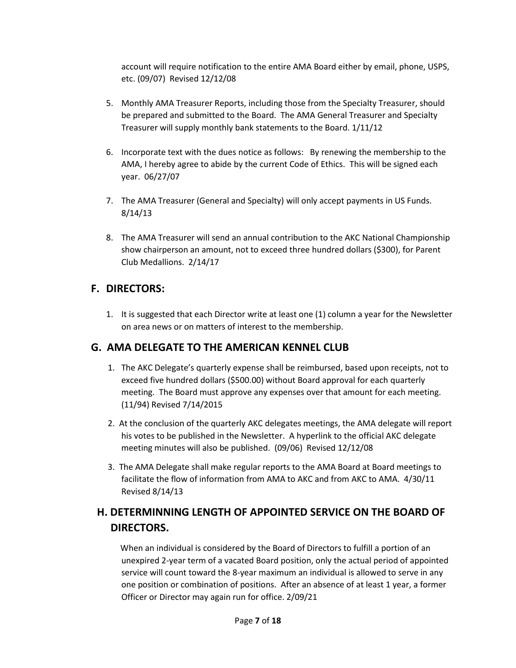account will require notification to the entire AMA Board either by email, phone, USPS, etc. (09/07) Revised 12/12/08

- 5. Monthly AMA Treasurer Reports, including those from the Specialty Treasurer, should be prepared and submitted to the Board. The AMA General Treasurer and Specialty Treasurer will supply monthly bank statements to the Board. 1/11/12
- 6. Incorporate text with the dues notice as follows: By renewing the membership to the AMA, I hereby agree to abide by the current Code of Ethics. This will be signed each year. 06/27/07
- 7. The AMA Treasurer (General and Specialty) will only accept payments in US Funds. 8/14/13
- 8. The AMA Treasurer will send an annual contribution to the AKC National Championship show chairperson an amount, not to exceed three hundred dollars (\$300), for Parent Club Medallions. 2/14/17

## **F. DIRECTORS:**

1. It is suggested that each Director write at least one (1) column a year for the Newsletter on area news or on matters of interest to the membership.

## **G. AMA DELEGATE TO THE AMERICAN KENNEL CLUB**

- 1. The AKC Delegate's quarterly expense shall be reimbursed, based upon receipts, not to exceed five hundred dollars (\$500.00) without Board approval for each quarterly meeting. The Board must approve any expenses over that amount for each meeting. (11/94) Revised 7/14/2015
- 2. At the conclusion of the quarterly AKC delegates meetings, the AMA delegate will report his votes to be published in the Newsletter. A hyperlink to the official AKC delegate meeting minutes will also be published. (09/06) Revised 12/12/08
- 3. The AMA Delegate shall make regular reports to the AMA Board at Board meetings to facilitate the flow of information from AMA to AKC and from AKC to AMA. 4/30/11 Revised 8/14/13

## **H. DETERMINNING LENGTH OF APPOINTED SERVICE ON THE BOARD OF DIRECTORS.**

 When an individual is considered by the Board of Directors to fulfill a portion of an unexpired 2-year term of a vacated Board position, only the actual period of appointed service will count toward the 8-year maximum an individual is allowed to serve in any one position or combination of positions. After an absence of at least 1 year, a former Officer or Director may again run for office. 2/09/21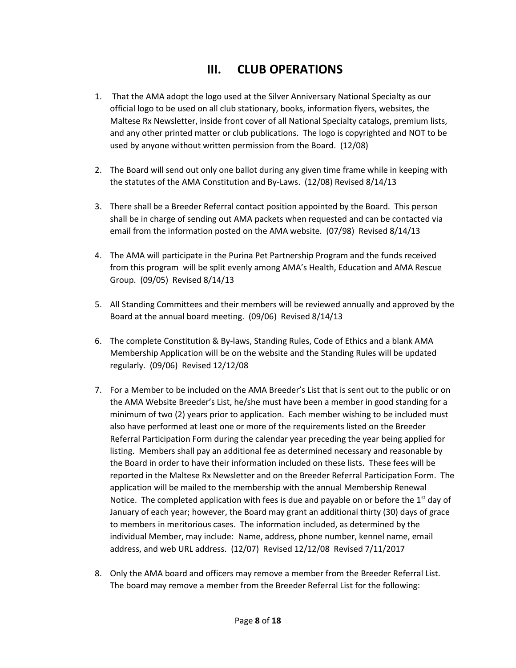# **III. CLUB OPERATIONS**

- 1. That the AMA adopt the logo used at the Silver Anniversary National Specialty as our official logo to be used on all club stationary, books, information flyers, websites, the Maltese Rx Newsletter, inside front cover of all National Specialty catalogs, premium lists, and any other printed matter or club publications. The logo is copyrighted and NOT to be used by anyone without written permission from the Board. (12/08)
- 2. The Board will send out only one ballot during any given time frame while in keeping with the statutes of the AMA Constitution and By-Laws. (12/08) Revised 8/14/13
- 3. There shall be a Breeder Referral contact position appointed by the Board. This person shall be in charge of sending out AMA packets when requested and can be contacted via email from the information posted on the AMA website. (07/98) Revised 8/14/13
- 4. The AMA will participate in the Purina Pet Partnership Program and the funds received from this program will be split evenly among AMA's Health, Education and AMA Rescue Group. (09/05) Revised 8/14/13
- 5. All Standing Committees and their members will be reviewed annually and approved by the Board at the annual board meeting. (09/06) Revised 8/14/13
- 6. The complete Constitution & By-laws, Standing Rules, Code of Ethics and a blank AMA Membership Application will be on the website and the Standing Rules will be updated regularly. (09/06) Revised 12/12/08
- 7. For a Member to be included on the AMA Breeder's List that is sent out to the public or on the AMA Website Breeder's List, he/she must have been a member in good standing for a minimum of two (2) years prior to application. Each member wishing to be included must also have performed at least one or more of the requirements listed on the Breeder Referral Participation Form during the calendar year preceding the year being applied for listing. Members shall pay an additional fee as determined necessary and reasonable by the Board in order to have their information included on these lists. These fees will be reported in the Maltese Rx Newsletter and on the Breeder Referral Participation Form. The application will be mailed to the membership with the annual Membership Renewal Notice. The completed application with fees is due and payable on or before the  $1<sup>st</sup>$  day of January of each year; however, the Board may grant an additional thirty (30) days of grace to members in meritorious cases. The information included, as determined by the individual Member, may include: Name, address, phone number, kennel name, email address, and web URL address. (12/07) Revised 12/12/08 Revised 7/11/2017
- 8. Only the AMA board and officers may remove a member from the Breeder Referral List. The board may remove a member from the Breeder Referral List for the following: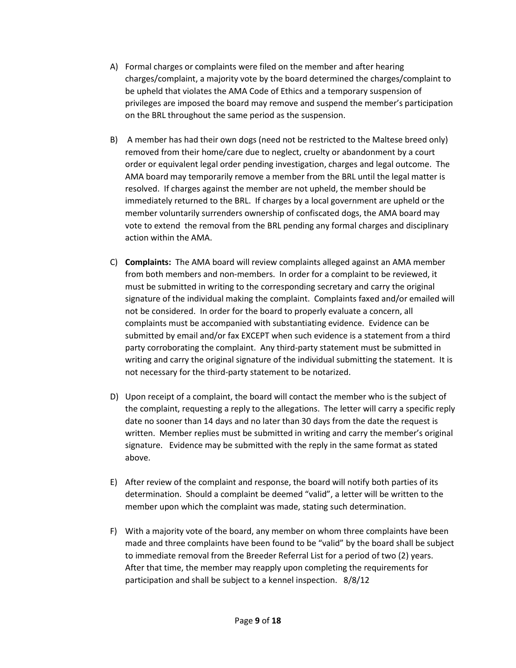- A) Formal charges or complaints were filed on the member and after hearing charges/complaint, a majority vote by the board determined the charges/complaint to be upheld that violates the AMA Code of Ethics and a temporary suspension of privileges are imposed the board may remove and suspend the member's participation on the BRL throughout the same period as the suspension.
- B) A member has had their own dogs (need not be restricted to the Maltese breed only) removed from their home/care due to neglect, cruelty or abandonment by a court order or equivalent legal order pending investigation, charges and legal outcome. The AMA board may temporarily remove a member from the BRL until the legal matter is resolved. If charges against the member are not upheld, the member should be immediately returned to the BRL. If charges by a local government are upheld or the member voluntarily surrenders ownership of confiscated dogs, the AMA board may vote to extend the removal from the BRL pending any formal charges and disciplinary action within the AMA.
- C) **Complaints:** The AMA board will review complaints alleged against an AMA member from both members and non-members. In order for a complaint to be reviewed, it must be submitted in writing to the corresponding secretary and carry the original signature of the individual making the complaint. Complaints faxed and/or emailed will not be considered. In order for the board to properly evaluate a concern, all complaints must be accompanied with substantiating evidence. Evidence can be submitted by email and/or fax EXCEPT when such evidence is a statement from a third party corroborating the complaint. Any third-party statement must be submitted in writing and carry the original signature of the individual submitting the statement. It is not necessary for the third-party statement to be notarized.
- D) Upon receipt of a complaint, the board will contact the member who is the subject of the complaint, requesting a reply to the allegations. The letter will carry a specific reply date no sooner than 14 days and no later than 30 days from the date the request is written. Member replies must be submitted in writing and carry the member's original signature. Evidence may be submitted with the reply in the same format as stated above.
- E) After review of the complaint and response, the board will notify both parties of its determination. Should a complaint be deemed "valid", a letter will be written to the member upon which the complaint was made, stating such determination.
- F) With a majority vote of the board, any member on whom three complaints have been made and three complaints have been found to be "valid" by the board shall be subject to immediate removal from the Breeder Referral List for a period of two (2) years. After that time, the member may reapply upon completing the requirements for participation and shall be subject to a kennel inspection. 8/8/12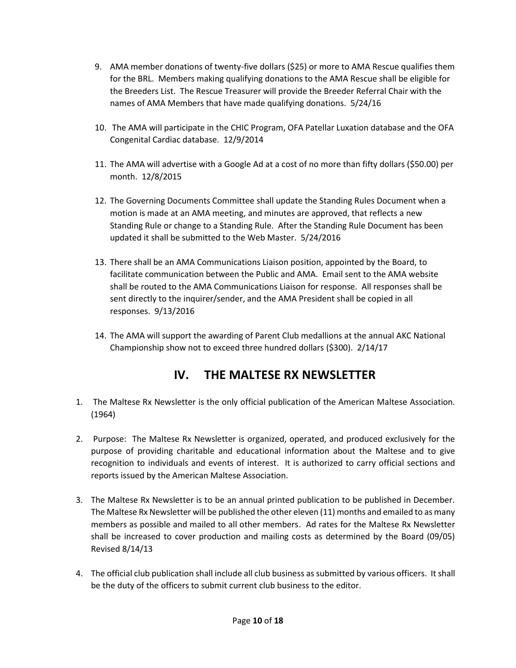- 9. AMA member donations of twenty-five dollars (\$25) or more to AMA Rescue qualifies them for the BRL. Members making qualifying donations to the AMA Rescue shall be eligible for the Breeders List. The Rescue Treasurer will provide the Breeder Referral Chair with the names of AMA Members that have made qualifying donations. 5/24/16
- 10. The AMA will participate in the CHIC Program, OFA Patellar Luxation database and the OFA Congenital Cardiac database. 12/9/2014
- 11. The AMA will advertise with a Google Ad at a cost of no more than fifty dollars (\$50.00) per month. 12/8/2015
- 12. The Governing Documents Committee shall update the Standing Rules Document when a motion is made at an AMA meeting, and minutes are approved, that reflects a new Standing Rule or change to a Standing Rule. After the Standing Rule Document has been updated it shall be submitted to the Web Master. 5/24/2016
- 13. There shall be an AMA Communications Liaison position, appointed by the Board, to facilitate communication between the Public and AMA. Email sent to the AMA website shall be routed to the AMA Communications Liaison for response. All responses shall be sent directly to the inquirer/sender, and the AMA President shall be copied in all responses. 9/13/2016
- 14. The AMA will support the awarding of Parent Club medallions at the annual AKC National Championship show not to exceed three hundred dollars (\$300). 2/14/17

# **IV. THE MALTESE RX NEWSLETTER**

- 1. The Maltese Rx Newsletter is the only official publication of the American Maltese Association. (1964)
- 2. Purpose: The Maltese Rx Newsletter is organized, operated, and produced exclusively for the purpose of providing charitable and educational information about the Maltese and to give recognition to individuals and events of interest. It is authorized to carry official sections and reports issued by the American Maltese Association.
- 3. The Maltese Rx Newsletter is to be an annual printed publication to be published in December. The Maltese Rx Newsletter will be published the other eleven (11) months and emailed to as many members as possible and mailed to all other members. Ad rates for the Maltese Rx Newsletter shall be increased to cover production and mailing costs as determined by the Board (09/05) Revised 8/14/13
- 4. The official club publication shall include all club business as submitted by various officers. It shall be the duty of the officers to submit current club business to the editor.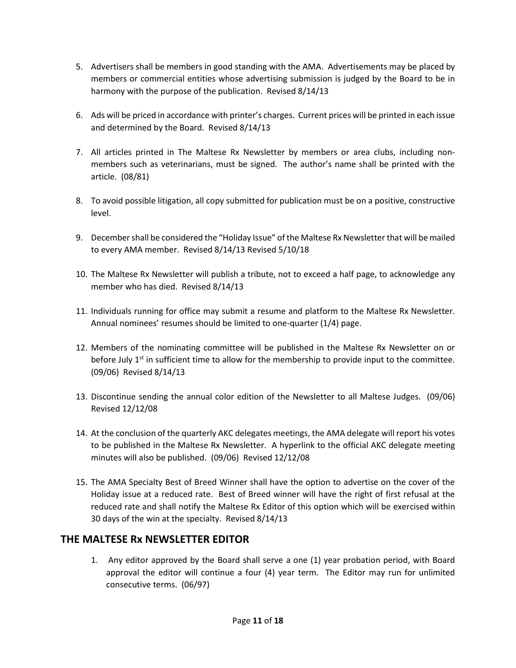- 5. Advertisers shall be members in good standing with the AMA. Advertisements may be placed by members or commercial entities whose advertising submission is judged by the Board to be in harmony with the purpose of the publication. Revised 8/14/13
- 6. Ads will be priced in accordance with printer's charges. Current prices will be printed in each issue and determined by the Board. Revised 8/14/13
- 7. All articles printed in The Maltese Rx Newsletter by members or area clubs, including nonmembers such as veterinarians, must be signed. The author's name shall be printed with the article. (08/81)
- 8. To avoid possible litigation, all copy submitted for publication must be on a positive, constructive level.
- 9. Decembershall be considered the "Holiday Issue" of the Maltese Rx Newsletter that will be mailed to every AMA member. Revised 8/14/13 Revised 5/10/18
- 10. The Maltese Rx Newsletter will publish a tribute, not to exceed a half page, to acknowledge any member who has died. Revised 8/14/13
- 11. Individuals running for office may submit a resume and platform to the Maltese Rx Newsletter. Annual nominees' resumes should be limited to one-quarter (1/4) page.
- 12. Members of the nominating committee will be published in the Maltese Rx Newsletter on or before July  $1<sup>st</sup>$  in sufficient time to allow for the membership to provide input to the committee. (09/06) Revised 8/14/13
- 13. Discontinue sending the annual color edition of the Newsletter to all Maltese Judges. (09/06) Revised 12/12/08
- 14. At the conclusion of the quarterly AKC delegates meetings, the AMA delegate will report his votes to be published in the Maltese Rx Newsletter. A hyperlink to the official AKC delegate meeting minutes will also be published. (09/06) Revised 12/12/08
- 15. The AMA Specialty Best of Breed Winner shall have the option to advertise on the cover of the Holiday issue at a reduced rate. Best of Breed winner will have the right of first refusal at the reduced rate and shall notify the Maltese Rx Editor of this option which will be exercised within 30 days of the win at the specialty. Revised 8/14/13

## **THE MALTESE Rx NEWSLETTER EDITOR**

1. Any editor approved by the Board shall serve a one (1) year probation period, with Board approval the editor will continue a four (4) year term. The Editor may run for unlimited consecutive terms. (06/97)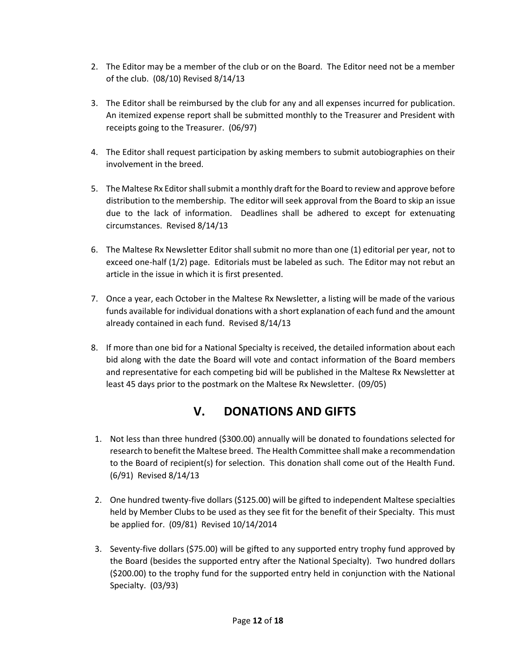- 2. The Editor may be a member of the club or on the Board. The Editor need not be a member of the club. (08/10) Revised 8/14/13
- 3. The Editor shall be reimbursed by the club for any and all expenses incurred for publication. An itemized expense report shall be submitted monthly to the Treasurer and President with receipts going to the Treasurer. (06/97)
- 4. The Editor shall request participation by asking members to submit autobiographies on their involvement in the breed.
- 5. The Maltese Rx Editor shall submit a monthly draft for the Board to review and approve before distribution to the membership. The editor will seek approval from the Board to skip an issue due to the lack of information. Deadlines shall be adhered to except for extenuating circumstances. Revised 8/14/13
- 6. The Maltese Rx Newsletter Editor shall submit no more than one (1) editorial per year, not to exceed one-half (1/2) page. Editorials must be labeled as such. The Editor may not rebut an article in the issue in which it is first presented.
- 7. Once a year, each October in the Maltese Rx Newsletter, a listing will be made of the various funds available for individual donations with a short explanation of each fund and the amount already contained in each fund. Revised 8/14/13
- 8. If more than one bid for a National Specialty is received, the detailed information about each bid along with the date the Board will vote and contact information of the Board members and representative for each competing bid will be published in the Maltese Rx Newsletter at least 45 days prior to the postmark on the Maltese Rx Newsletter. (09/05)

# **V. DONATIONS AND GIFTS**

- 1. Not less than three hundred (\$300.00) annually will be donated to foundations selected for research to benefit the Maltese breed. The Health Committee shall make a recommendation to the Board of recipient(s) for selection. This donation shall come out of the Health Fund. (6/91) Revised 8/14/13
- 2. One hundred twenty-five dollars (\$125.00) will be gifted to independent Maltese specialties held by Member Clubs to be used as they see fit for the benefit of their Specialty. This must be applied for. (09/81) Revised 10/14/2014
- 3. Seventy-five dollars (\$75.00) will be gifted to any supported entry trophy fund approved by the Board (besides the supported entry after the National Specialty). Two hundred dollars (\$200.00) to the trophy fund for the supported entry held in conjunction with the National Specialty. (03/93)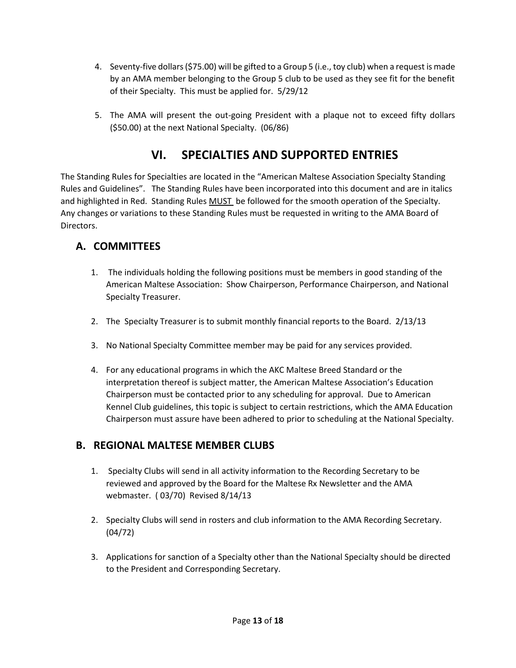- 4. Seventy-five dollars (\$75.00) will be gifted to a Group 5 (i.e., toy club) when a request is made by an AMA member belonging to the Group 5 club to be used as they see fit for the benefit of their Specialty. This must be applied for. 5/29/12
- 5. The AMA will present the out-going President with a plaque not to exceed fifty dollars (\$50.00) at the next National Specialty. (06/86)

# **VI. SPECIALTIES AND SUPPORTED ENTRIES**

The Standing Rules for Specialties are located in the "American Maltese Association Specialty Standing Rules and Guidelines". The Standing Rules have been incorporated into this document and are in italics and highlighted in Red. Standing Rules MUST be followed for the smooth operation of the Specialty. Any changes or variations to these Standing Rules must be requested in writing to the AMA Board of Directors.

## **A. COMMITTEES**

- 1. The individuals holding the following positions must be members in good standing of the American Maltese Association: Show Chairperson, Performance Chairperson, and National Specialty Treasurer.
- 2. The Specialty Treasurer is to submit monthly financial reports to the Board. 2/13/13
- 3. No National Specialty Committee member may be paid for any services provided.
- 4. For any educational programs in which the AKC Maltese Breed Standard or the interpretation thereof is subject matter, the American Maltese Association's Education Chairperson must be contacted prior to any scheduling for approval. Due to American Kennel Club guidelines, this topic is subject to certain restrictions, which the AMA Education Chairperson must assure have been adhered to prior to scheduling at the National Specialty.

## **B. REGIONAL MALTESE MEMBER CLUBS**

- 1. Specialty Clubs will send in all activity information to the Recording Secretary to be reviewed and approved by the Board for the Maltese Rx Newsletter and the AMA webmaster. ( 03/70) Revised 8/14/13
- 2. Specialty Clubs will send in rosters and club information to the AMA Recording Secretary. (04/72)
- 3. Applications for sanction of a Specialty other than the National Specialty should be directed to the President and Corresponding Secretary.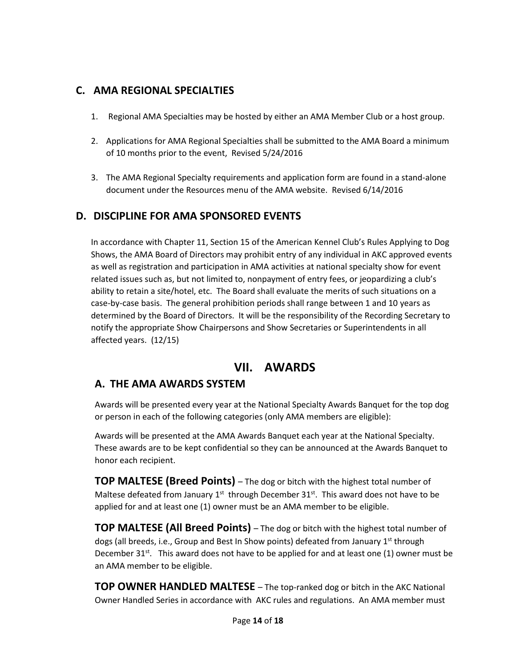### **C. AMA REGIONAL SPECIALTIES**

- 1. Regional AMA Specialties may be hosted by either an AMA Member Club or a host group.
- 2. Applications for AMA Regional Specialties shall be submitted to the AMA Board a minimum of 10 months prior to the event, Revised 5/24/2016
- 3. The AMA Regional Specialty requirements and application form are found in a stand-alone document under the Resources menu of the AMA website. Revised 6/14/2016

#### **D. DISCIPLINE FOR AMA SPONSORED EVENTS**

In accordance with Chapter 11, Section 15 of the American Kennel Club's Rules Applying to Dog Shows, the AMA Board of Directors may prohibit entry of any individual in AKC approved events as well as registration and participation in AMA activities at national specialty show for event related issues such as, but not limited to, nonpayment of entry fees, or jeopardizing a club's ability to retain a site/hotel, etc. The Board shall evaluate the merits of such situations on a case-by-case basis. The general prohibition periods shall range between 1 and 10 years as determined by the Board of Directors. It will be the responsibility of the Recording Secretary to notify the appropriate Show Chairpersons and Show Secretaries or Superintendents in all affected years. (12/15)

## **VII. AWARDS**

#### **A. THE AMA AWARDS SYSTEM**

Awards will be presented every year at the National Specialty Awards Banquet for the top dog or person in each of the following categories (only AMA members are eligible):

Awards will be presented at the AMA Awards Banquet each year at the National Specialty. These awards are to be kept confidential so they can be announced at the Awards Banquet to honor each recipient.

**TOP MALTESE (Breed Points)** – The dog or bitch with the highest total number of Maltese defeated from January  $1^{st}$  through December  $31^{st}$ . This award does not have to be applied for and at least one (1) owner must be an AMA member to be eligible.

**TOP MALTESE (All Breed Points)** – The dog or bitch with the highest total number of dogs (all breeds, i.e., Group and Best In Show points) defeated from January 1<sup>st</sup> through December  $31^{st}$ . This award does not have to be applied for and at least one (1) owner must be an AMA member to be eligible.

**TOP OWNER HANDLED MALTESE** – The top-ranked dog or bitch in the AKC National Owner Handled Series in accordance with AKC rules and regulations. An AMA member must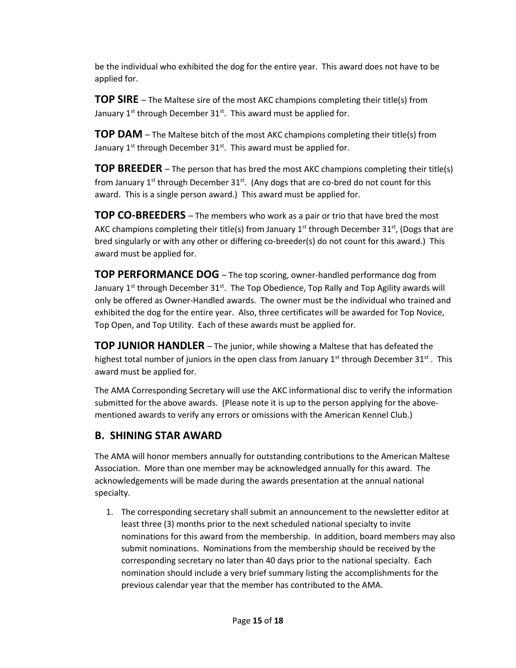be the individual who exhibited the dog for the entire year. This award does not have to be applied for.

**TOP SIRE** – The Maltese sire of the most AKC champions completing their title(s) from January  $1^{st}$  through December  $31^{st}$ . This award must be applied for.

**TOP DAM** – The Maltese bitch of the most AKC champions completing their title(s) from January  $1^{st}$  through December  $31^{st}$ . This award must be applied for.

**TOP BREEDER** – The person that has bred the most AKC champions completing their title(s) from January 1<sup>st</sup> through December  $31^{st}$ . (Any dogs that are co-bred do not count for this award. This is a single person award.) This award must be applied for.

**TOP CO-BREEDERS** – The members who work as a pair or trio that have bred the most AKC champions completing their title(s) from January 1<sup>st</sup> through December 31<sup>st</sup>, (Dogs that are bred singularly or with any other or differing co-breeder(s) do not count for this award.) This award must be applied for.

**TOP PERFORMANCE DOG** – The top scoring, owner-handled performance dog from January 1<sup>st</sup> through December 31<sup>st</sup>. The Top Obedience, Top Rally and Top Agility awards will only be offered as Owner-Handled awards. The owner must be the individual who trained and exhibited the dog for the entire year. Also, three certificates will be awarded for Top Novice, Top Open, and Top Utility. Each of these awards must be applied for.

**TOP JUNIOR HANDLER** – The junior, while showing a Maltese that has defeated the highest total number of juniors in the open class from January  $1^{st}$  through December  $31^{st}$ . This award must be applied for.

The AMA Corresponding Secretary will use the AKC informational disc to verify the information submitted for the above awards. (Please note it is up to the person applying for the abovementioned awards to verify any errors or omissions with the American Kennel Club.)

## **B. SHINING STAR AWARD**

The AMA will honor members annually for outstanding contributions to the American Maltese Association. More than one member may be acknowledged annually for this award. The acknowledgements will be made during the awards presentation at the annual national specialty.

1. The corresponding secretary shall submit an announcement to the newsletter editor at least three (3) months prior to the next scheduled national specialty to invite nominations for this award from the membership. In addition, board members may also submit nominations. Nominations from the membership should be received by the corresponding secretary no later than 40 days prior to the national specialty. Each nomination should include a very brief summary listing the accomplishments for the previous calendar year that the member has contributed to the AMA.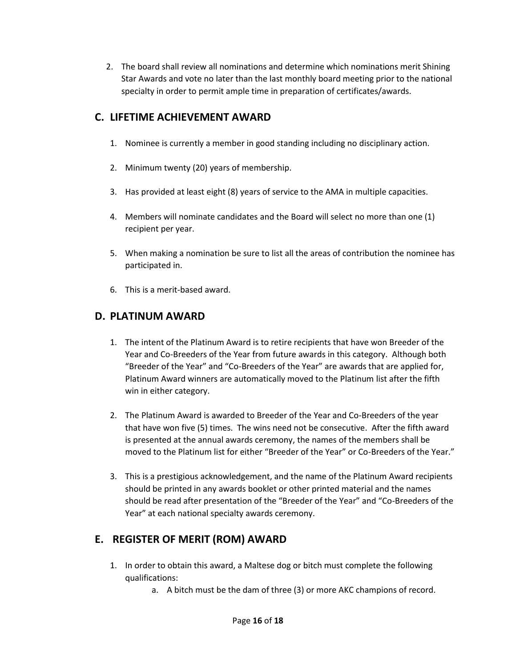2. The board shall review all nominations and determine which nominations merit Shining Star Awards and vote no later than the last monthly board meeting prior to the national specialty in order to permit ample time in preparation of certificates/awards.

## **C. LIFETIME ACHIEVEMENT AWARD**

- 1. Nominee is currently a member in good standing including no disciplinary action.
- 2. Minimum twenty (20) years of membership.
- 3. Has provided at least eight (8) years of service to the AMA in multiple capacities.
- 4. Members will nominate candidates and the Board will select no more than one (1) recipient per year.
- 5. When making a nomination be sure to list all the areas of contribution the nominee has participated in.
- 6. This is a merit-based award.

## **D. PLATINUM AWARD**

- 1. The intent of the Platinum Award is to retire recipients that have won Breeder of the Year and Co-Breeders of the Year from future awards in this category. Although both "Breeder of the Year" and "Co-Breeders of the Year" are awards that are applied for, Platinum Award winners are automatically moved to the Platinum list after the fifth win in either category.
- 2. The Platinum Award is awarded to Breeder of the Year and Co-Breeders of the year that have won five (5) times. The wins need not be consecutive. After the fifth award is presented at the annual awards ceremony, the names of the members shall be moved to the Platinum list for either "Breeder of the Year" or Co-Breeders of the Year."
- 3. This is a prestigious acknowledgement, and the name of the Platinum Award recipients should be printed in any awards booklet or other printed material and the names should be read after presentation of the "Breeder of the Year" and "Co-Breeders of the Year" at each national specialty awards ceremony.

## **E. REGISTER OF MERIT (ROM) AWARD**

- 1. In order to obtain this award, a Maltese dog or bitch must complete the following qualifications:
	- a. A bitch must be the dam of three (3) or more AKC champions of record.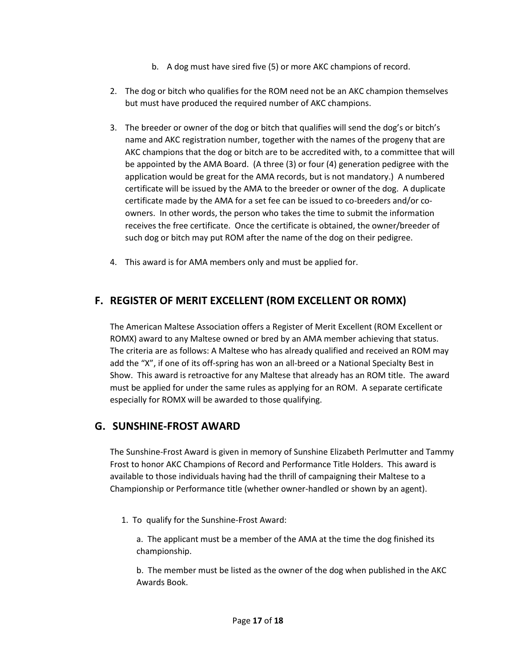- b. A dog must have sired five (5) or more AKC champions of record.
- 2. The dog or bitch who qualifies for the ROM need not be an AKC champion themselves but must have produced the required number of AKC champions.
- 3. The breeder or owner of the dog or bitch that qualifies will send the dog's or bitch's name and AKC registration number, together with the names of the progeny that are AKC champions that the dog or bitch are to be accredited with, to a committee that will be appointed by the AMA Board. (A three (3) or four (4) generation pedigree with the application would be great for the AMA records, but is not mandatory.) A numbered certificate will be issued by the AMA to the breeder or owner of the dog. A duplicate certificate made by the AMA for a set fee can be issued to co-breeders and/or coowners. In other words, the person who takes the time to submit the information receives the free certificate. Once the certificate is obtained, the owner/breeder of such dog or bitch may put ROM after the name of the dog on their pedigree.
- 4. This award is for AMA members only and must be applied for.

## **F. REGISTER OF MERIT EXCELLENT (ROM EXCELLENT OR ROMX)**

The American Maltese Association offers a Register of Merit Excellent (ROM Excellent or ROMX) award to any Maltese owned or bred by an AMA member achieving that status. The criteria are as follows: A Maltese who has already qualified and received an ROM may add the "X", if one of its off-spring has won an all-breed or a National Specialty Best in Show. This award is retroactive for any Maltese that already has an ROM title. The award must be applied for under the same rules as applying for an ROM. A separate certificate especially for ROMX will be awarded to those qualifying.

#### **G. SUNSHINE-FROST AWARD**

The Sunshine-Frost Award is given in memory of Sunshine Elizabeth Perlmutter and Tammy Frost to honor AKC Champions of Record and Performance Title Holders. This award is available to those individuals having had the thrill of campaigning their Maltese to a Championship or Performance title (whether owner-handled or shown by an agent).

1. To qualify for the Sunshine-Frost Award:

a. The applicant must be a member of the AMA at the time the dog finished its championship.

b. The member must be listed as the owner of the dog when published in the AKC Awards Book.